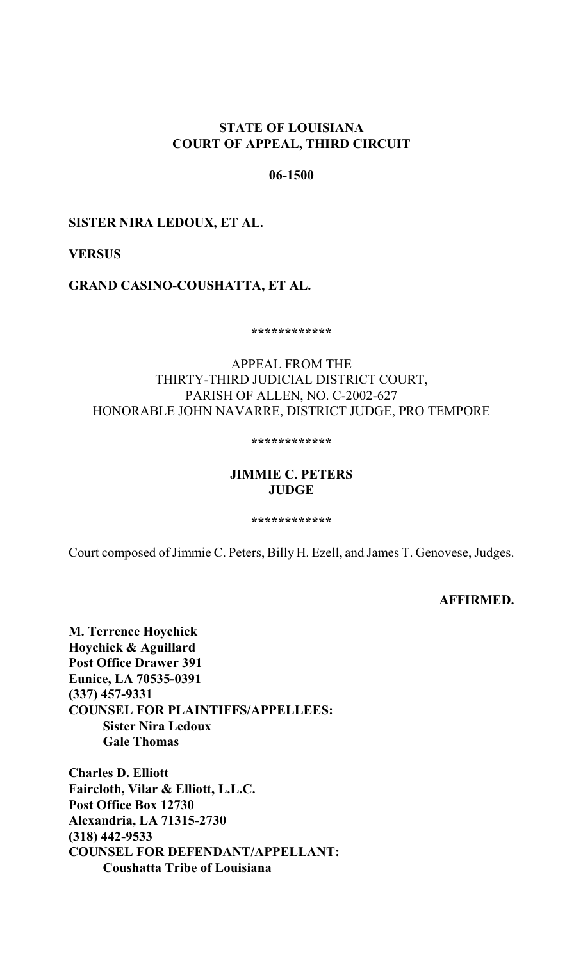## **STATE OF LOUISIANA COURT OF APPEAL, THIRD CIRCUIT**

## **06-1500**

## **SISTER NIRA LEDOUX, ET AL.**

## **VERSUS**

## **GRAND CASINO-COUSHATTA, ET AL.**

**\*\*\*\*\*\*\*\*\*\*\*\***

# APPEAL FROM THE THIRTY-THIRD JUDICIAL DISTRICT COURT, PARISH OF ALLEN, NO. C-2002-627 HONORABLE JOHN NAVARRE, DISTRICT JUDGE, PRO TEMPORE

**\*\*\*\*\*\*\*\*\*\*\*\***

# **JIMMIE C. PETERS JUDGE**

**\*\*\*\*\*\*\*\*\*\*\*\***

Court composed of Jimmie C. Peters, Billy H. Ezell, and James T. Genovese, Judges.

**AFFIRMED.**

**M. Terrence Hoychick Hoychick & Aguillard Post Office Drawer 391 Eunice, LA 70535-0391 (337) 457-9331 COUNSEL FOR PLAINTIFFS/APPELLEES: Sister Nira Ledoux Gale Thomas**

**Charles D. Elliott Faircloth, Vilar & Elliott, L.L.C. Post Office Box 12730 Alexandria, LA 71315-2730 (318) 442-9533 COUNSEL FOR DEFENDANT/APPELLANT: Coushatta Tribe of Louisiana**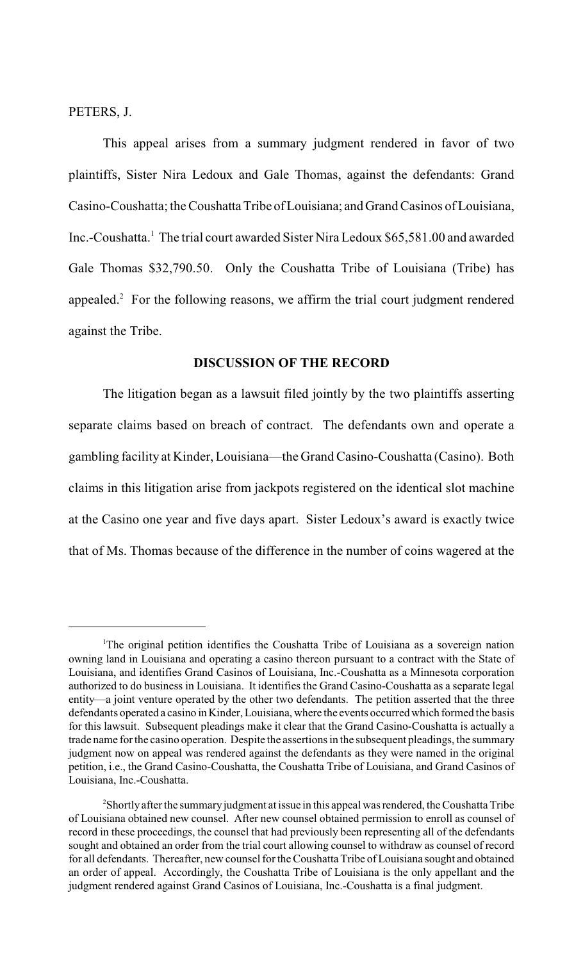PETERS, J.

This appeal arises from a summary judgment rendered in favor of two plaintiffs, Sister Nira Ledoux and Gale Thomas, against the defendants: Grand Casino-Coushatta; the Coushatta Tribe of Louisiana; and Grand Casinos of Louisiana, Inc.-Coushatta.<sup>1</sup> The trial court awarded Sister Nira Ledoux \$65,581.00 and awarded Gale Thomas \$32,790.50. Only the Coushatta Tribe of Louisiana (Tribe) has appealed. $\degree$  For the following reasons, we affirm the trial court judgment rendered against the Tribe.

#### **DISCUSSION OF THE RECORD**

The litigation began as a lawsuit filed jointly by the two plaintiffs asserting separate claims based on breach of contract. The defendants own and operate a gambling facility at Kinder, Louisiana—the Grand Casino-Coushatta (Casino). Both claims in this litigation arise from jackpots registered on the identical slot machine at the Casino one year and five days apart. Sister Ledoux's award is exactly twice that of Ms. Thomas because of the difference in the number of coins wagered at the

<sup>&</sup>lt;sup>1</sup>The original petition identifies the Coushatta Tribe of Louisiana as a sovereign nation owning land in Louisiana and operating a casino thereon pursuant to a contract with the State of Louisiana, and identifies Grand Casinos of Louisiana, Inc.-Coushatta as a Minnesota corporation authorized to do business in Louisiana. It identifies the Grand Casino-Coushatta as a separate legal entity—a joint venture operated by the other two defendants. The petition asserted that the three defendants operated a casino in Kinder, Louisiana, where the events occurred which formed the basis for this lawsuit. Subsequent pleadings make it clear that the Grand Casino-Coushatta is actually a trade name for the casino operation. Despite the assertions in the subsequent pleadings, the summary judgment now on appeal was rendered against the defendants as they were named in the original petition, i.e., the Grand Casino-Coushatta, the Coushatta Tribe of Louisiana, and Grand Casinos of Louisiana, Inc.-Coushatta.

 $2$ Shortly after the summary judgment at issue in this appeal was rendered, the Coushatta Tribe of Louisiana obtained new counsel. After new counsel obtained permission to enroll as counsel of record in these proceedings, the counsel that had previously been representing all of the defendants sought and obtained an order from the trial court allowing counsel to withdraw as counsel of record for all defendants. Thereafter, new counsel for the Coushatta Tribe of Louisiana sought and obtained an order of appeal. Accordingly, the Coushatta Tribe of Louisiana is the only appellant and the judgment rendered against Grand Casinos of Louisiana, Inc.-Coushatta is a final judgment.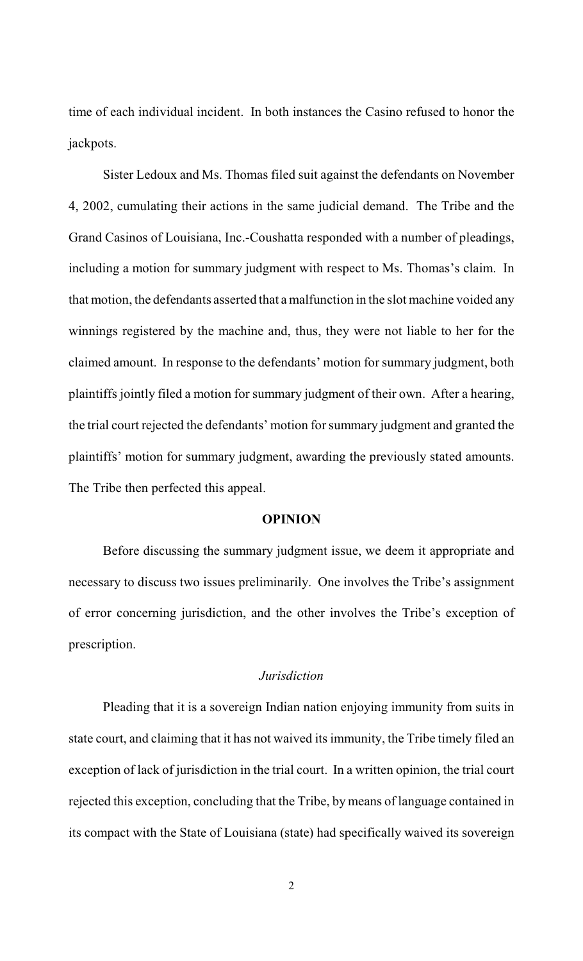time of each individual incident. In both instances the Casino refused to honor the jackpots.

Sister Ledoux and Ms. Thomas filed suit against the defendants on November 4, 2002, cumulating their actions in the same judicial demand. The Tribe and the Grand Casinos of Louisiana, Inc.-Coushatta responded with a number of pleadings, including a motion for summary judgment with respect to Ms. Thomas's claim. In that motion, the defendants asserted that a malfunction in the slot machine voided any winnings registered by the machine and, thus, they were not liable to her for the claimed amount. In response to the defendants' motion forsummary judgment, both plaintiffs jointly filed a motion for summary judgment of their own. After a hearing, the trial court rejected the defendants' motion for summary judgment and granted the plaintiffs' motion for summary judgment, awarding the previously stated amounts. The Tribe then perfected this appeal.

#### **OPINION**

Before discussing the summary judgment issue, we deem it appropriate and necessary to discuss two issues preliminarily. One involves the Tribe's assignment of error concerning jurisdiction, and the other involves the Tribe's exception of prescription.

## *Jurisdiction*

Pleading that it is a sovereign Indian nation enjoying immunity from suits in state court, and claiming that it has not waived its immunity, the Tribe timely filed an exception of lack of jurisdiction in the trial court. In a written opinion, the trial court rejected this exception, concluding that the Tribe, by means of language contained in its compact with the State of Louisiana (state) had specifically waived its sovereign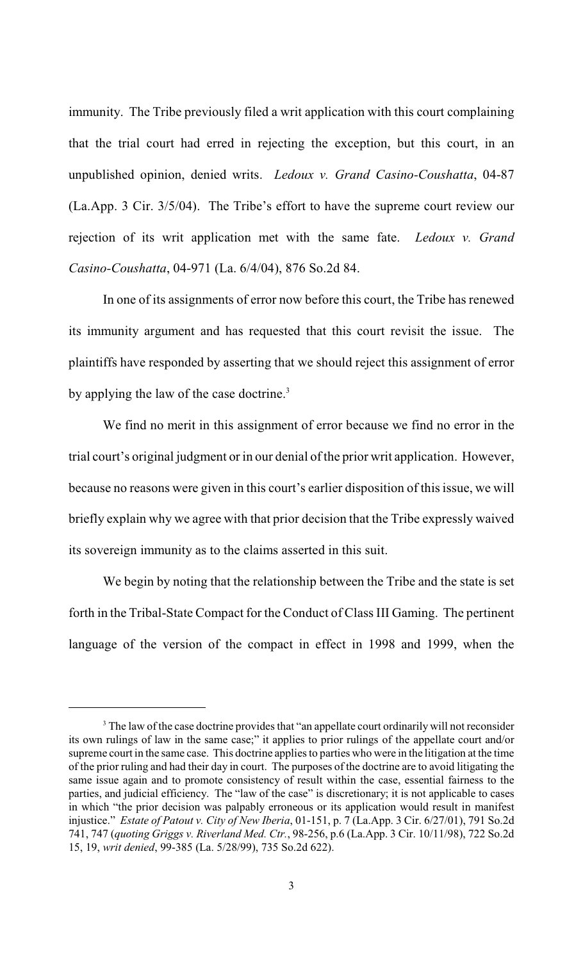immunity. The Tribe previously filed a writ application with this court complaining that the trial court had erred in rejecting the exception, but this court, in an unpublished opinion, denied writs. *Ledoux v. Grand Casino-Coushatta*, 04-87 (La.App. 3 Cir. 3/5/04). The Tribe's effort to have the supreme court review our rejection of its writ application met with the same fate. *Ledoux v. Grand Casino-Coushatta*, 04-971 (La. 6/4/04), 876 So.2d 84.

In one of its assignments of error now before this court, the Tribe has renewed its immunity argument and has requested that this court revisit the issue. The plaintiffs have responded by asserting that we should reject this assignment of error by applying the law of the case doctrine.<sup>3</sup>

We find no merit in this assignment of error because we find no error in the trial court's original judgment or in our denial of the prior writ application. However, because no reasons were given in this court's earlier disposition of this issue, we will briefly explain why we agree with that prior decision that the Tribe expressly waived its sovereign immunity as to the claims asserted in this suit.

We begin by noting that the relationship between the Tribe and the state is set forth in the Tribal-State Compact for the Conduct of Class III Gaming. The pertinent language of the version of the compact in effect in 1998 and 1999, when the

<sup>&</sup>lt;sup>3</sup> The law of the case doctrine provides that "an appellate court ordinarily will not reconsider its own rulings of law in the same case;" it applies to prior rulings of the appellate court and/or supreme court in the same case. This doctrine applies to parties who were in the litigation at the time of the prior ruling and had their day in court. The purposes of the doctrine are to avoid litigating the same issue again and to promote consistency of result within the case, essential fairness to the parties, and judicial efficiency. The "law of the case" is discretionary; it is not applicable to cases in which "the prior decision was palpably erroneous or its application would result in manifest injustice." *Estate of Patout v. City of New Iberia*, 01-151, p. 7 (La.App. 3 Cir. 6/27/01), 791 So.2d 741, 747 (*quoting Griggs v. Riverland Med. Ctr.*, 98-256, p.6 (La.App. 3 Cir. 10/11/98), 722 So.2d 15, 19, *writ denied*, 99-385 (La. 5/28/99), 735 So.2d 622).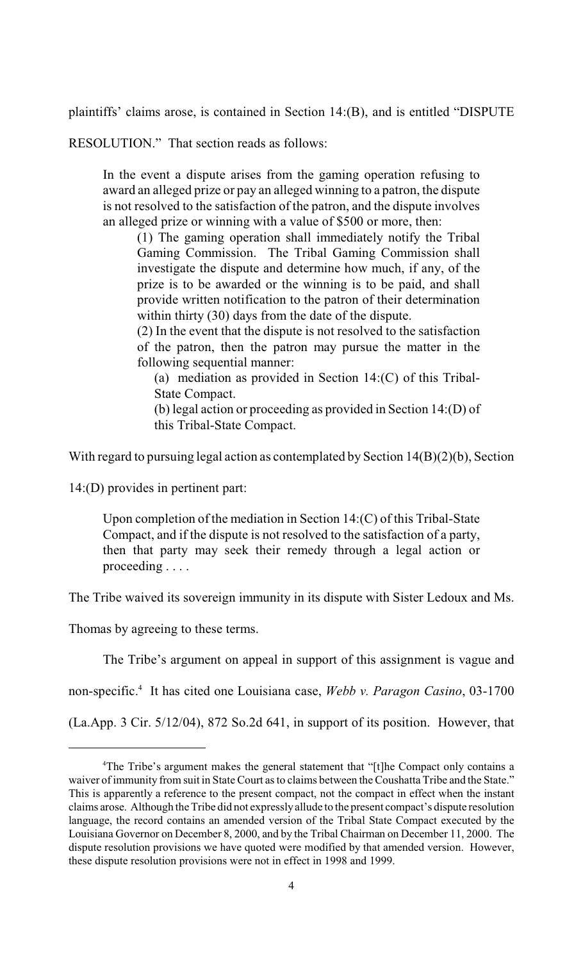plaintiffs' claims arose, is contained in Section 14:(B), and is entitled "DISPUTE

RESOLUTION." That section reads as follows:

In the event a dispute arises from the gaming operation refusing to award an alleged prize or pay an alleged winning to a patron, the dispute is not resolved to the satisfaction of the patron, and the dispute involves an alleged prize or winning with a value of \$500 or more, then:

(1) The gaming operation shall immediately notify the Tribal Gaming Commission. The Tribal Gaming Commission shall investigate the dispute and determine how much, if any, of the prize is to be awarded or the winning is to be paid, and shall provide written notification to the patron of their determination within thirty (30) days from the date of the dispute.

(2) In the event that the dispute is not resolved to the satisfaction of the patron, then the patron may pursue the matter in the following sequential manner:

(a) mediation as provided in Section 14:(C) of this Tribal-State Compact.

(b) legal action or proceeding as provided in Section 14:(D) of this Tribal-State Compact.

With regard to pursuing legal action as contemplated by Section 14(B)(2)(b), Section

14:(D) provides in pertinent part:

Upon completion of the mediation in Section 14:(C) of this Tribal-State Compact, and if the dispute is not resolved to the satisfaction of a party, then that party may seek their remedy through a legal action or proceeding . . . .

The Tribe waived its sovereign immunity in its dispute with Sister Ledoux and Ms.

Thomas by agreeing to these terms.

The Tribe's argument on appeal in support of this assignment is vague and

non-specific.<sup>4</sup> It has cited one Louisiana case, *Webb v. Paragon Casino*, 03-1700

(La.App. 3 Cir. 5/12/04), 872 So.2d 641, in support of its position. However, that

<sup>&</sup>lt;sup>4</sup>The Tribe's argument makes the general statement that "[t]he Compact only contains a waiver of immunity from suit in State Court as to claims between the Coushatta Tribe and the State." This is apparently a reference to the present compact, not the compact in effect when the instant claims arose. Although theTribe did not expressly allude to the present compact's dispute resolution language, the record contains an amended version of the Tribal State Compact executed by the Louisiana Governor on December 8, 2000, and by the Tribal Chairman on December 11, 2000. The dispute resolution provisions we have quoted were modified by that amended version. However, these dispute resolution provisions were not in effect in 1998 and 1999.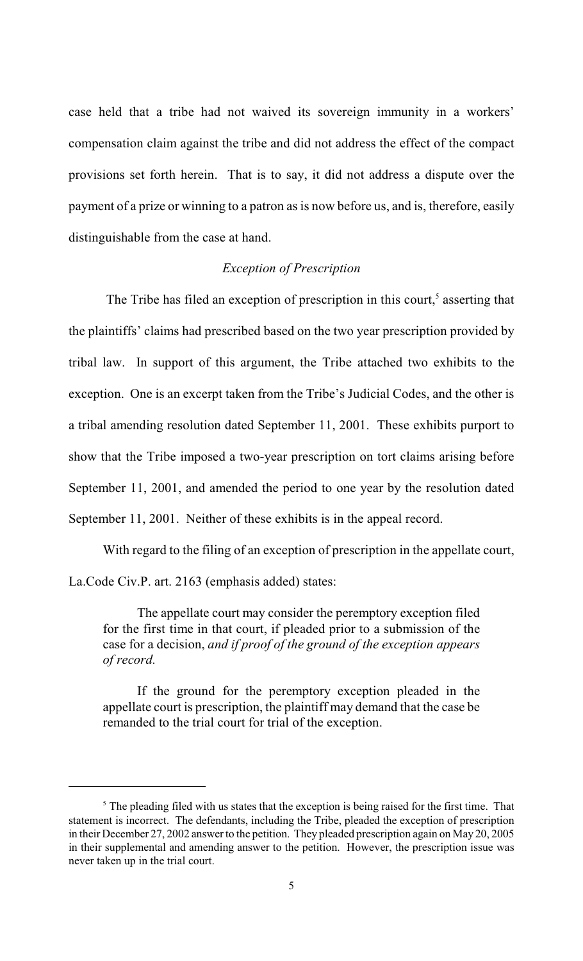case held that a tribe had not waived its sovereign immunity in a workers' compensation claim against the tribe and did not address the effect of the compact provisions set forth herein. That is to say, it did not address a dispute over the payment of a prize or winning to a patron as is now before us, and is, therefore, easily distinguishable from the case at hand.

### *Exception of Prescription*

The Tribe has filed an exception of prescription in this court,<sup>5</sup> asserting that the plaintiffs' claims had prescribed based on the two year prescription provided by tribal law. In support of this argument, the Tribe attached two exhibits to the exception. One is an excerpt taken from the Tribe's Judicial Codes, and the other is a tribal amending resolution dated September 11, 2001. These exhibits purport to show that the Tribe imposed a two-year prescription on tort claims arising before September 11, 2001, and amended the period to one year by the resolution dated September 11, 2001. Neither of these exhibits is in the appeal record.

With regard to the filing of an exception of prescription in the appellate court, La.Code Civ.P. art. 2163 (emphasis added) states:

The appellate court may consider the peremptory exception filed for the first time in that court, if pleaded prior to a submission of the case for a decision, *and if proof of the ground of the exception appears of record.*

If the ground for the peremptory exception pleaded in the appellate court is prescription, the plaintiff may demand that the case be remanded to the trial court for trial of the exception.

 $<sup>5</sup>$  The pleading filed with us states that the exception is being raised for the first time. That</sup> statement is incorrect. The defendants, including the Tribe, pleaded the exception of prescription in their December 27, 2002 answer to the petition. They pleaded prescription again on May 20, 2005 in their supplemental and amending answer to the petition. However, the prescription issue was never taken up in the trial court.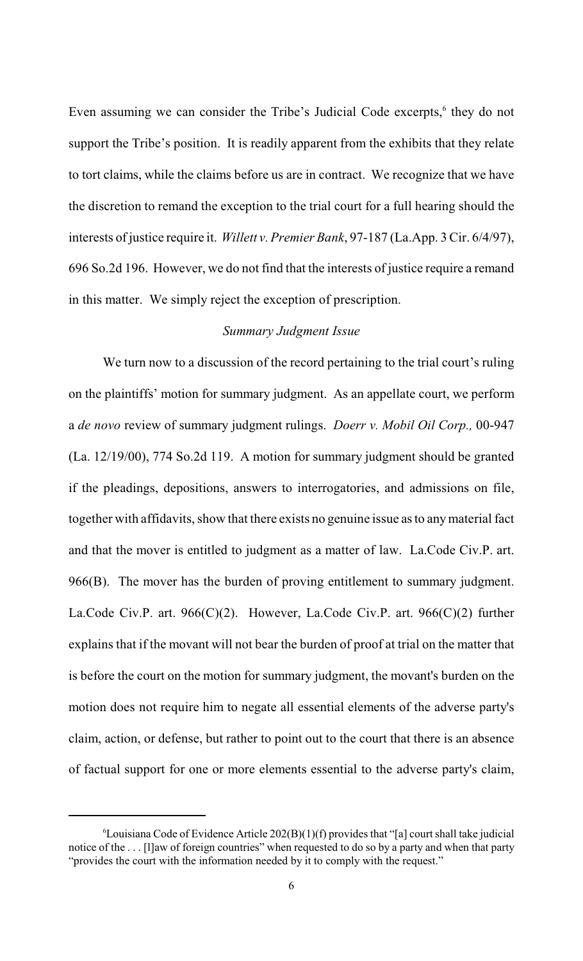Even assuming we can consider the Tribe's Judicial Code excerpts, $<sup>6</sup>$  they do not</sup> support the Tribe's position. It is readily apparent from the exhibits that they relate to tort claims, while the claims before us are in contract. We recognize that we have the discretion to remand the exception to the trial court for a full hearing should the interests of justice require it. *Willett v. Premier Bank*, 97-187 (La.App. 3 Cir. 6/4/97), 696 So.2d 196. However, we do not find that the interests of justice require a remand in this matter. We simply reject the exception of prescription.

## *Summary Judgment Issue*

We turn now to a discussion of the record pertaining to the trial court's ruling on the plaintiffs' motion for summary judgment. As an appellate court, we perform a *de novo* review of summary judgment rulings. *Doerr v. Mobil Oil Corp.,* 00-947 (La. 12/19/00), 774 So.2d 119. A motion for summary judgment should be granted if the pleadings, depositions, answers to interrogatories, and admissions on file, together with affidavits, show that there exists no genuine issue as to anymaterial fact and that the mover is entitled to judgment as a matter of law. La.Code Civ.P. art. 966(B). The mover has the burden of proving entitlement to summary judgment. La.Code Civ.P. art.  $966(C)(2)$ . However, La.Code Civ.P. art.  $966(C)(2)$  further explains that if the movant will not bear the burden of proof at trial on the matter that is before the court on the motion for summary judgment, the movant's burden on the motion does not require him to negate all essential elements of the adverse party's claim, action, or defense, but rather to point out to the court that there is an absence of factual support for one or more elements essential to the adverse party's claim,

 ${}^6$ Louisiana Code of Evidence Article 202(B)(1)(f) provides that "[a] court shall take judicial notice of the . . . [l]aw of foreign countries" when requested to do so by a party and when that party "provides the court with the information needed by it to comply with the request."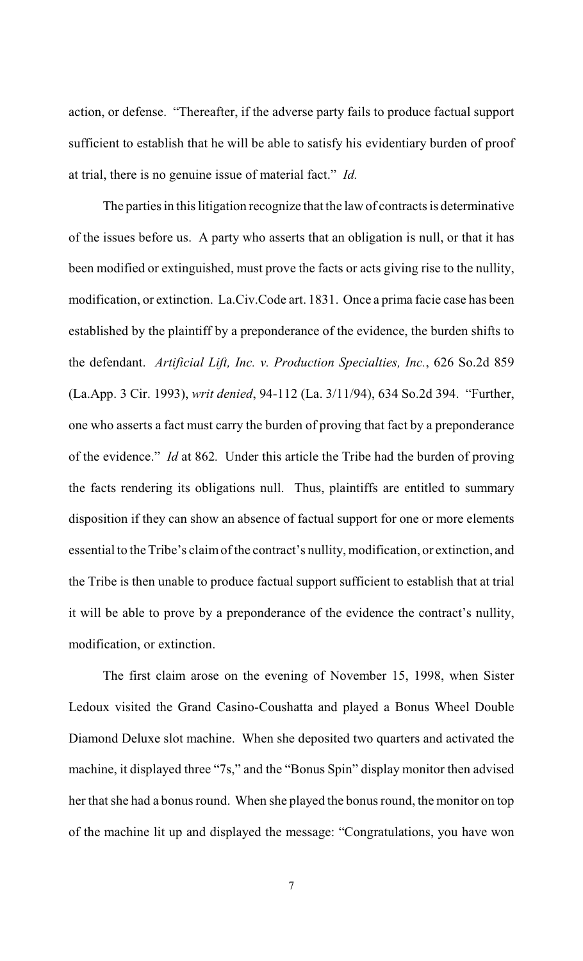action, or defense. "Thereafter, if the adverse party fails to produce factual support sufficient to establish that he will be able to satisfy his evidentiary burden of proof at trial, there is no genuine issue of material fact." *Id.*

The parties in this litigation recognize that the law of contracts is determinative of the issues before us. A party who asserts that an obligation is null, or that it has been modified or extinguished, must prove the facts or acts giving rise to the nullity, modification, or extinction. La.Civ.Code art. 1831. Once a prima facie case has been established by the plaintiff by a preponderance of the evidence, the burden shifts to the defendant. *Artificial Lift, Inc. v. Production Specialties, Inc.*, 626 So.2d 859 (La.App. 3 Cir. 1993), *writ denied*, 94-112 (La. 3/11/94), 634 So.2d 394. "Further, one who asserts a fact must carry the burden of proving that fact by a preponderance of the evidence." *Id* at 862*.* Under this article the Tribe had the burden of proving the facts rendering its obligations null. Thus, plaintiffs are entitled to summary disposition if they can show an absence of factual support for one or more elements essential to the Tribe's claim of the contract's nullity, modification, or extinction, and the Tribe is then unable to produce factual support sufficient to establish that at trial it will be able to prove by a preponderance of the evidence the contract's nullity, modification, or extinction.

The first claim arose on the evening of November 15, 1998, when Sister Ledoux visited the Grand Casino-Coushatta and played a Bonus Wheel Double Diamond Deluxe slot machine. When she deposited two quarters and activated the machine, it displayed three "7s," and the "Bonus Spin" display monitor then advised her that she had a bonus round. When she played the bonus round, the monitor on top of the machine lit up and displayed the message: "Congratulations, you have won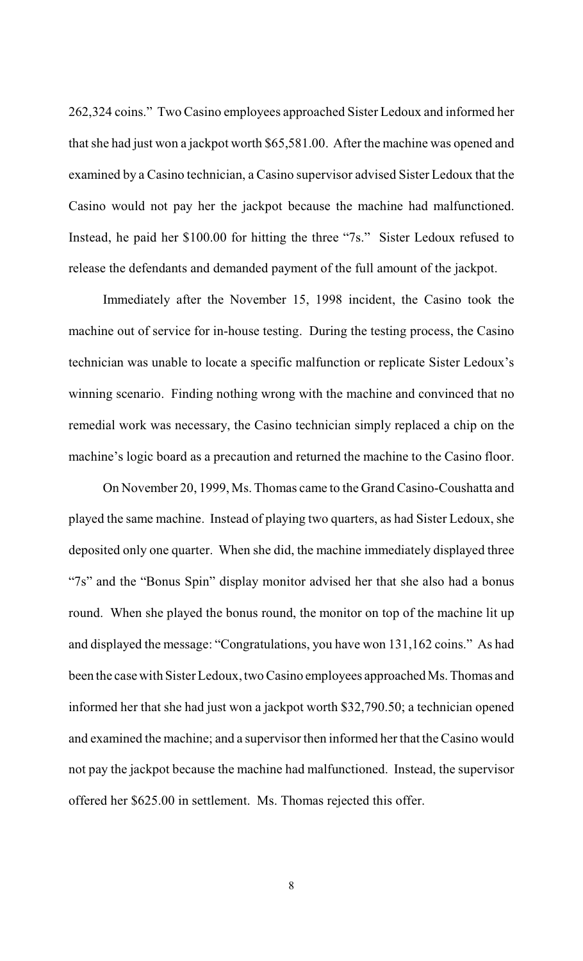262,324 coins." Two Casino employees approached Sister Ledoux and informed her that she had just won a jackpot worth \$65,581.00. After the machine was opened and examined by a Casino technician, a Casino supervisor advised Sister Ledoux that the Casino would not pay her the jackpot because the machine had malfunctioned. Instead, he paid her \$100.00 for hitting the three "7s." Sister Ledoux refused to release the defendants and demanded payment of the full amount of the jackpot.

Immediately after the November 15, 1998 incident, the Casino took the machine out of service for in-house testing. During the testing process, the Casino technician was unable to locate a specific malfunction or replicate Sister Ledoux's winning scenario. Finding nothing wrong with the machine and convinced that no remedial work was necessary, the Casino technician simply replaced a chip on the machine's logic board as a precaution and returned the machine to the Casino floor.

On November 20, 1999, Ms. Thomas came to the Grand Casino-Coushatta and played the same machine. Instead of playing two quarters, as had Sister Ledoux, she deposited only one quarter. When she did, the machine immediately displayed three "7s" and the "Bonus Spin" display monitor advised her that she also had a bonus round. When she played the bonus round, the monitor on top of the machine lit up and displayed the message: "Congratulations, you have won 131,162 coins." As had been the case with Sister Ledoux, two Casino employees approached Ms. Thomas and informed her that she had just won a jackpot worth \$32,790.50; a technician opened and examined the machine; and a supervisor then informed her that the Casino would not pay the jackpot because the machine had malfunctioned. Instead, the supervisor offered her \$625.00 in settlement. Ms. Thomas rejected this offer.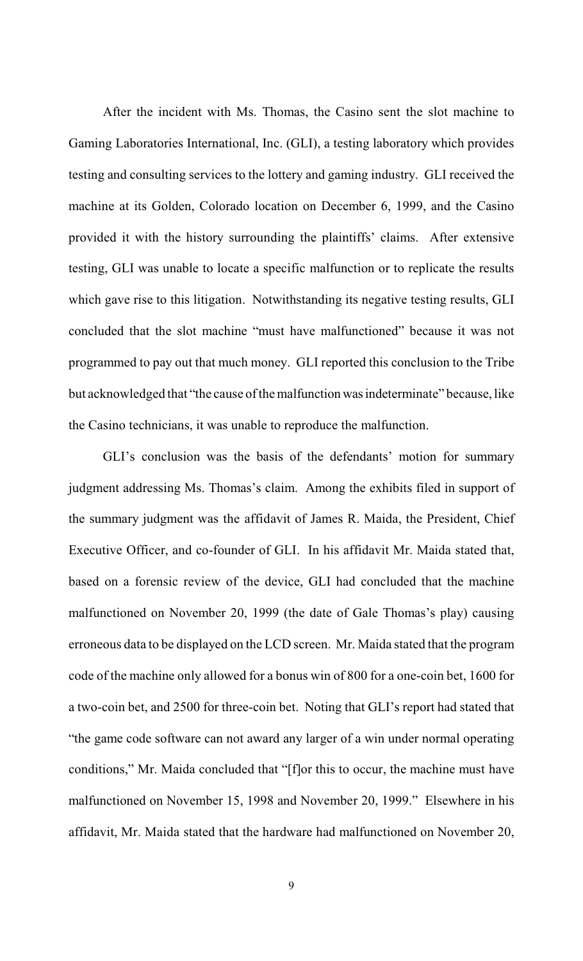After the incident with Ms. Thomas, the Casino sent the slot machine to Gaming Laboratories International, Inc. (GLI), a testing laboratory which provides testing and consulting services to the lottery and gaming industry. GLI received the machine at its Golden, Colorado location on December 6, 1999, and the Casino provided it with the history surrounding the plaintiffs' claims. After extensive testing, GLI was unable to locate a specific malfunction or to replicate the results which gave rise to this litigation. Notwithstanding its negative testing results, GLI concluded that the slot machine "must have malfunctioned" because it was not programmed to pay out that much money. GLI reported this conclusion to the Tribe but acknowledged that "the cause of the malfunction was indeterminate" because, like the Casino technicians, it was unable to reproduce the malfunction.

GLI's conclusion was the basis of the defendants' motion for summary judgment addressing Ms. Thomas's claim. Among the exhibits filed in support of the summary judgment was the affidavit of James R. Maida, the President, Chief Executive Officer, and co-founder of GLI. In his affidavit Mr. Maida stated that, based on a forensic review of the device, GLI had concluded that the machine malfunctioned on November 20, 1999 (the date of Gale Thomas's play) causing erroneous data to be displayed on the LCD screen. Mr. Maida stated that the program code of the machine only allowed for a bonus win of 800 for a one-coin bet, 1600 for a two-coin bet, and 2500 for three-coin bet. Noting that GLI's report had stated that "the game code software can not award any larger of a win under normal operating conditions," Mr. Maida concluded that "[f]or this to occur, the machine must have malfunctioned on November 15, 1998 and November 20, 1999." Elsewhere in his affidavit, Mr. Maida stated that the hardware had malfunctioned on November 20,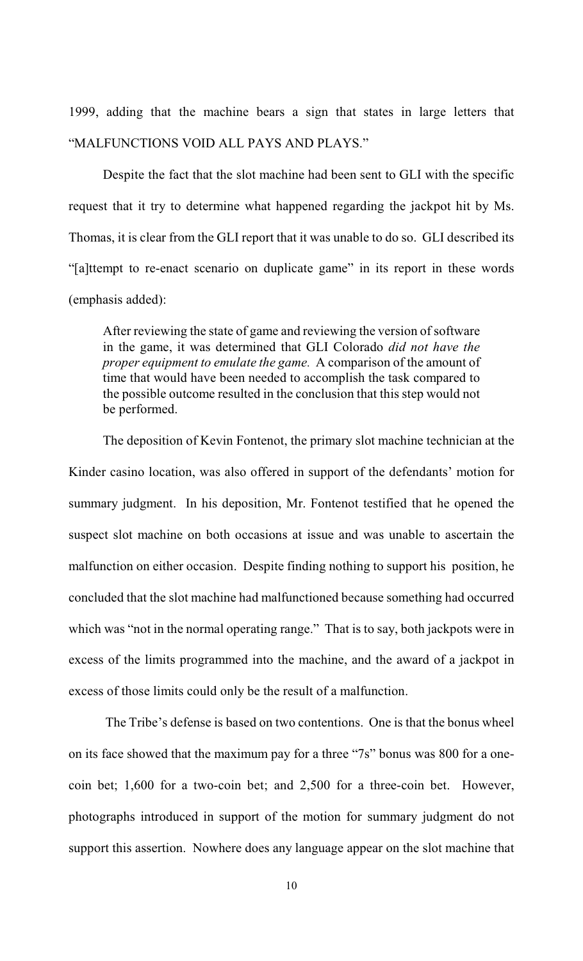1999, adding that the machine bears a sign that states in large letters that "MALFUNCTIONS VOID ALL PAYS AND PLAYS."

Despite the fact that the slot machine had been sent to GLI with the specific request that it try to determine what happened regarding the jackpot hit by Ms. Thomas, it is clear from the GLI report that it was unable to do so. GLI described its "[a]ttempt to re-enact scenario on duplicate game" in its report in these words (emphasis added):

After reviewing the state of game and reviewing the version of software in the game, it was determined that GLI Colorado *did not have the proper equipment to emulate the game.* A comparison of the amount of time that would have been needed to accomplish the task compared to the possible outcome resulted in the conclusion that this step would not be performed.

The deposition of Kevin Fontenot, the primary slot machine technician at the Kinder casino location, was also offered in support of the defendants' motion for summary judgment. In his deposition, Mr. Fontenot testified that he opened the suspect slot machine on both occasions at issue and was unable to ascertain the malfunction on either occasion. Despite finding nothing to support his position, he concluded that the slot machine had malfunctioned because something had occurred which was "not in the normal operating range." That is to say, both jackpots were in excess of the limits programmed into the machine, and the award of a jackpot in excess of those limits could only be the result of a malfunction.

 The Tribe's defense is based on two contentions. One is that the bonus wheel on its face showed that the maximum pay for a three "7s" bonus was 800 for a onecoin bet; 1,600 for a two-coin bet; and 2,500 for a three-coin bet. However, photographs introduced in support of the motion for summary judgment do not support this assertion. Nowhere does any language appear on the slot machine that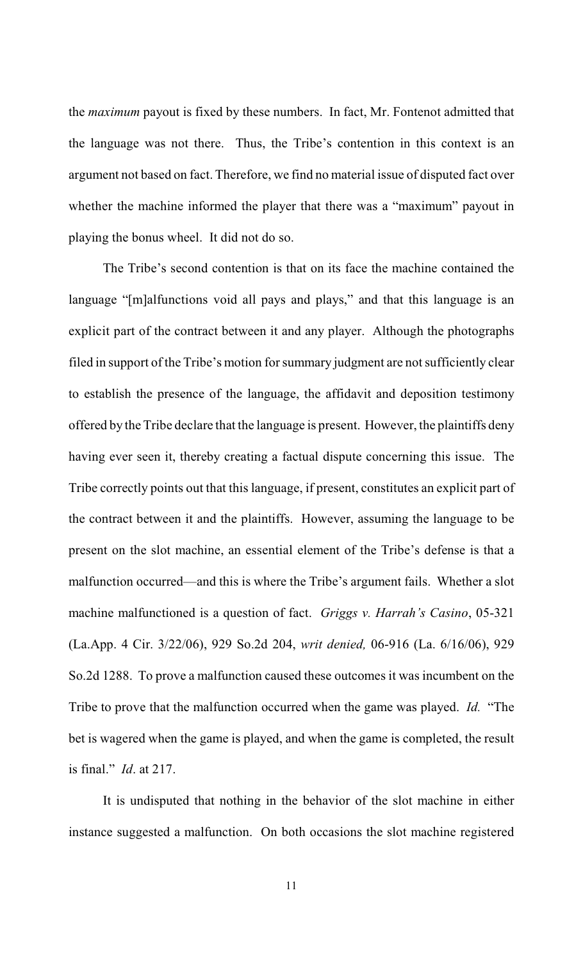the *maximum* payout is fixed by these numbers. In fact, Mr. Fontenot admitted that the language was not there. Thus, the Tribe's contention in this context is an argument not based on fact. Therefore, we find no material issue of disputed fact over whether the machine informed the player that there was a "maximum" payout in playing the bonus wheel. It did not do so.

The Tribe's second contention is that on its face the machine contained the language "[m]alfunctions void all pays and plays," and that this language is an explicit part of the contract between it and any player. Although the photographs filed in support of the Tribe's motion for summary judgment are not sufficiently clear to establish the presence of the language, the affidavit and deposition testimony offered by the Tribe declare that the language is present. However, the plaintiffs deny having ever seen it, thereby creating a factual dispute concerning this issue. The Tribe correctly points out that this language, if present, constitutes an explicit part of the contract between it and the plaintiffs. However, assuming the language to be present on the slot machine, an essential element of the Tribe's defense is that a malfunction occurred—and this is where the Tribe's argument fails. Whether a slot machine malfunctioned is a question of fact. *Griggs v. Harrah's Casino*, 05-321 (La.App. 4 Cir. 3/22/06), 929 So.2d 204, *writ denied,* 06-916 (La. 6/16/06), 929 So.2d 1288. To prove a malfunction caused these outcomes it was incumbent on the Tribe to prove that the malfunction occurred when the game was played. *Id.* "The bet is wagered when the game is played, and when the game is completed, the result is final." *Id*. at 217.

It is undisputed that nothing in the behavior of the slot machine in either instance suggested a malfunction. On both occasions the slot machine registered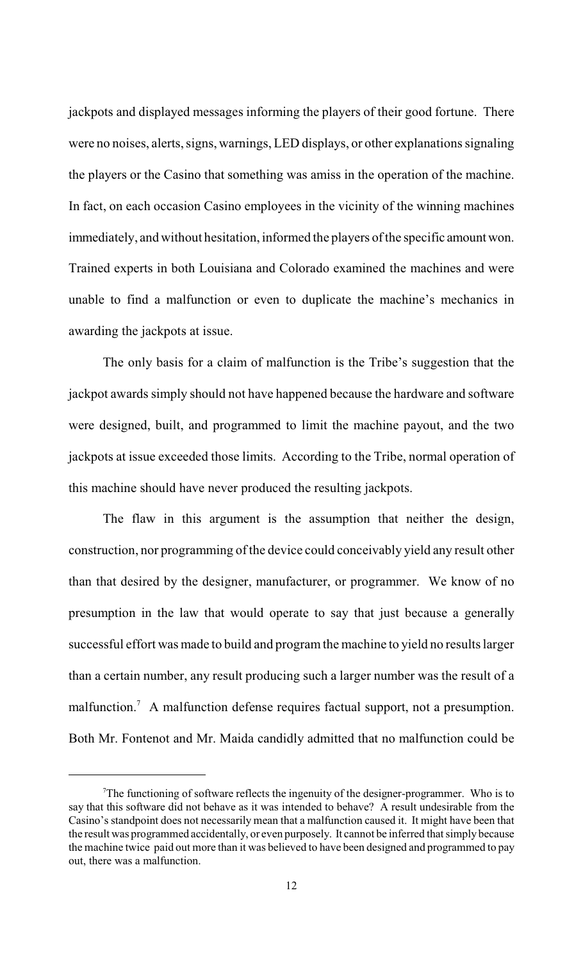jackpots and displayed messages informing the players of their good fortune. There were no noises, alerts, signs, warnings, LED displays, or other explanations signaling the players or the Casino that something was amiss in the operation of the machine. In fact, on each occasion Casino employees in the vicinity of the winning machines immediately, and without hesitation, informed the players of the specific amount won. Trained experts in both Louisiana and Colorado examined the machines and were unable to find a malfunction or even to duplicate the machine's mechanics in awarding the jackpots at issue.

The only basis for a claim of malfunction is the Tribe's suggestion that the jackpot awards simply should not have happened because the hardware and software were designed, built, and programmed to limit the machine payout, and the two jackpots at issue exceeded those limits. According to the Tribe, normal operation of this machine should have never produced the resulting jackpots.

The flaw in this argument is the assumption that neither the design, construction, nor programming of the device could conceivably yield any result other than that desired by the designer, manufacturer, or programmer. We know of no presumption in the law that would operate to say that just because a generally successful effort was made to build and programthe machine to yield no results larger than a certain number, any result producing such a larger number was the result of a malfunction.<sup>7</sup> A malfunction defense requires factual support, not a presumption. Both Mr. Fontenot and Mr. Maida candidly admitted that no malfunction could be

 $T$ The functioning of software reflects the ingenuity of the designer-programmer. Who is to say that this software did not behave as it was intended to behave? A result undesirable from the Casino's standpoint does not necessarily mean that a malfunction caused it. It might have been that the result was programmed accidentally, or even purposely. It cannot be inferred that simply because the machine twice paid out more than it was believed to have been designed and programmed to pay out, there was a malfunction.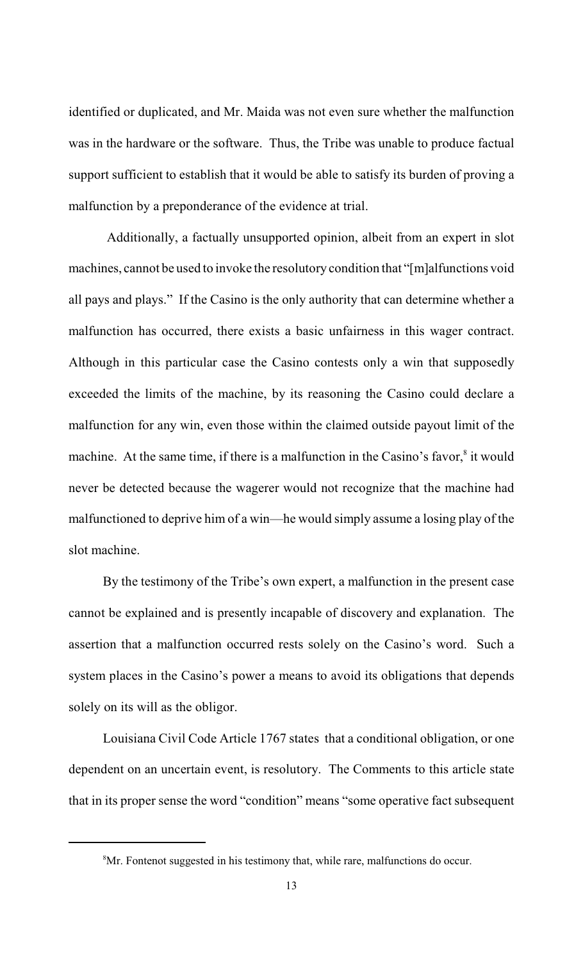identified or duplicated, and Mr. Maida was not even sure whether the malfunction was in the hardware or the software. Thus, the Tribe was unable to produce factual support sufficient to establish that it would be able to satisfy its burden of proving a malfunction by a preponderance of the evidence at trial.

 Additionally, a factually unsupported opinion, albeit from an expert in slot machines, cannot be used to invoke the resolutory condition that "[m]alfunctions void all pays and plays." If the Casino is the only authority that can determine whether a malfunction has occurred, there exists a basic unfairness in this wager contract. Although in this particular case the Casino contests only a win that supposedly exceeded the limits of the machine, by its reasoning the Casino could declare a malfunction for any win, even those within the claimed outside payout limit of the machine. At the same time, if there is a malfunction in the Casino's favor, $\delta$  it would never be detected because the wagerer would not recognize that the machine had malfunctioned to deprive him of a win—he would simply assume a losing play of the slot machine.

By the testimony of the Tribe's own expert, a malfunction in the present case cannot be explained and is presently incapable of discovery and explanation. The assertion that a malfunction occurred rests solely on the Casino's word. Such a system places in the Casino's power a means to avoid its obligations that depends solely on its will as the obligor.

Louisiana Civil Code Article 1767 states that a conditional obligation, or one dependent on an uncertain event, is resolutory. The Comments to this article state that in its proper sense the word "condition" means "some operative fact subsequent

<sup>&</sup>lt;sup>8</sup>Mr. Fontenot suggested in his testimony that, while rare, malfunctions do occur.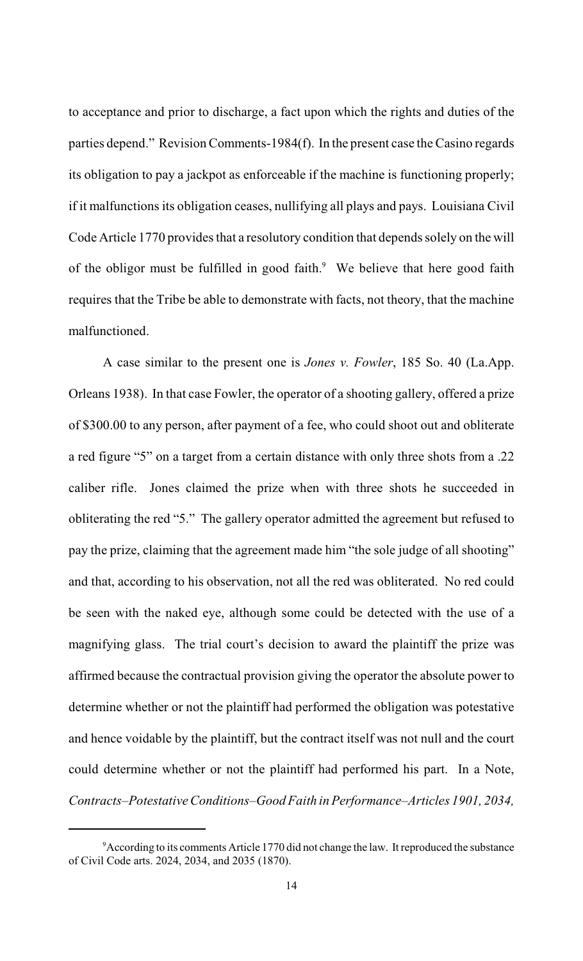to acceptance and prior to discharge, a fact upon which the rights and duties of the parties depend." Revision Comments-1984(f). In the present case theCasino regards its obligation to pay a jackpot as enforceable if the machine is functioning properly; if it malfunctions its obligation ceases, nullifying all plays and pays. Louisiana Civil Code Article 1770 provides that a resolutory condition that depends solely on the will of the obligor must be fulfilled in good faith. $9$  We believe that here good faith requires that the Tribe be able to demonstrate with facts, not theory, that the machine malfunctioned.

A case similar to the present one is *Jones v. Fowler*, 185 So. 40 (La.App. Orleans 1938). In that case Fowler, the operator of a shooting gallery, offered a prize of \$300.00 to any person, after payment of a fee, who could shoot out and obliterate a red figure "5" on a target from a certain distance with only three shots from a .22 caliber rifle. Jones claimed the prize when with three shots he succeeded in obliterating the red "5." The gallery operator admitted the agreement but refused to pay the prize, claiming that the agreement made him "the sole judge of all shooting" and that, according to his observation, not all the red was obliterated. No red could be seen with the naked eye, although some could be detected with the use of a magnifying glass. The trial court's decision to award the plaintiff the prize was affirmed because the contractual provision giving the operator the absolute power to determine whether or not the plaintiff had performed the obligation was potestative and hence voidable by the plaintiff, but the contract itself was not null and the court could determine whether or not the plaintiff had performed his part. In a Note, *Contracts–Potestative Conditions–Good Faith in Performance–Articles 1901, 2034,*

<sup>&</sup>lt;sup>9</sup> According to its comments Article 1770 did not change the law. It reproduced the substance of Civil Code arts. 2024, 2034, and 2035 (1870).